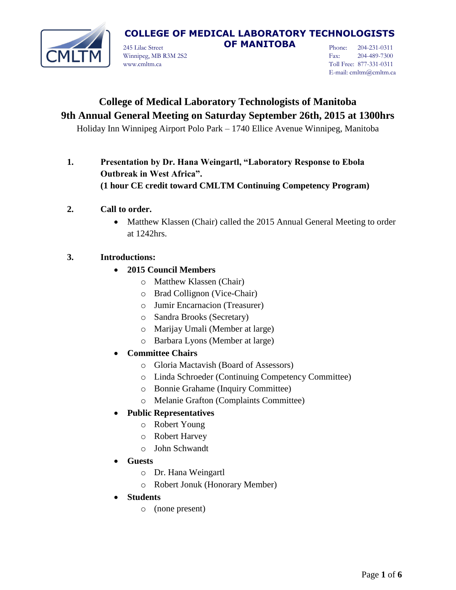

245 Lilac Street **OF MANITOBA** Winnipeg, MB R3M 2S2 www.cmltm.ca

Phone: 204-231-0311 Fax: 204-489-7300 Toll Free: 877-331-0311 E-mail: cmltm@cmltm.ca

# **College of Medical Laboratory Technologists of Manitoba 9th Annual General Meeting on Saturday September 26th, 2015 at 1300hrs**

Holiday Inn Winnipeg Airport Polo Park – 1740 Ellice Avenue Winnipeg, Manitoba

**1. Presentation by Dr. Hana Weingartl, "Laboratory Response to Ebola Outbreak in West Africa". (1 hour CE credit toward CMLTM Continuing Competency Program)**

## **2. Call to order.**

• Matthew Klassen (Chair) called the 2015 Annual General Meeting to order at 1242hrs.

## **3. Introductions:**

- **2015 Council Members**
	- o Matthew Klassen (Chair)
	- o Brad Collignon (Vice-Chair)
	- o Jumir Encarnacion (Treasurer)
	- o Sandra Brooks (Secretary)
	- o Marijay Umali (Member at large)
	- o Barbara Lyons (Member at large)
- **Committee Chairs**
	- o Gloria Mactavish (Board of Assessors)
	- o Linda Schroeder (Continuing Competency Committee)
	- o Bonnie Grahame (Inquiry Committee)
	- o Melanie Grafton (Complaints Committee)

### **Public Representatives**

- o Robert Young
- o Robert Harvey
- o John Schwandt
- **Guests**
	- o Dr. Hana Weingartl
	- o Robert Jonuk (Honorary Member)
- **Students**
	- o (none present)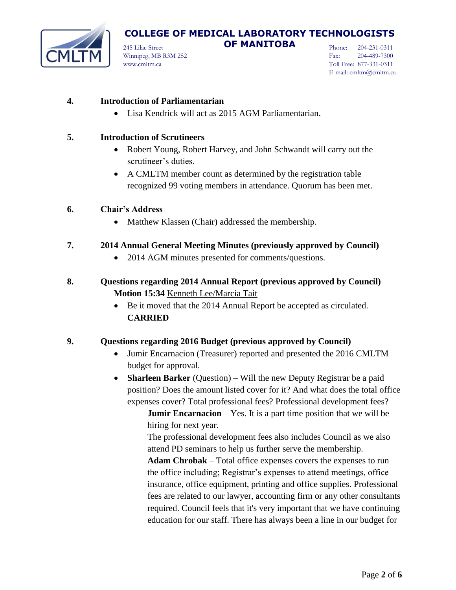

245 Lilac Street **OF MANITOBA** Winnipeg, MB R3M 2S2 www.cmltm.ca

Phone: 204-231-0311 Fax: 204-489-7300 Toll Free: 877-331-0311 E-mail: cmltm@cmltm.ca

### **4. Introduction of Parliamentarian**

Lisa Kendrick will act as 2015 AGM Parliamentarian.

#### **5. Introduction of Scrutineers**

- Robert Young, Robert Harvey, and John Schwandt will carry out the scrutineer's duties.
- A CMLTM member count as determined by the registration table recognized 99 voting members in attendance. Quorum has been met.

#### **6. Chair's Address**

- Matthew Klassen (Chair) addressed the membership.
- **7. 2014 Annual General Meeting Minutes (previously approved by Council)**
	- 2014 AGM minutes presented for comments/questions.
- **8. Questions regarding 2014 Annual Report (previous approved by Council) Motion 15:34** Kenneth Lee/Marcia Tait
	- Be it moved that the 2014 Annual Report be accepted as circulated. **CARRIED**

### **9. Questions regarding 2016 Budget (previous approved by Council)**

- Jumir Encarnacion (Treasurer) reported and presented the 2016 CMLTM budget for approval.
- **Sharleen Barker** (Question) Will the new Deputy Registrar be a paid position? Does the amount listed cover for it? And what does the total office expenses cover? Total professional fees? Professional development fees?

**Jumir Encarnacion** – Yes. It is a part time position that we will be hiring for next year.

The professional development fees also includes Council as we also attend PD seminars to help us further serve the membership.

**Adam Chrobak** – Total office expenses covers the expenses to run the office including; Registrar's expenses to attend meetings, office insurance, office equipment, printing and office supplies. Professional fees are related to our lawyer, accounting firm or any other consultants required. Council feels that it's very important that we have continuing education for our staff. There has always been a line in our budget for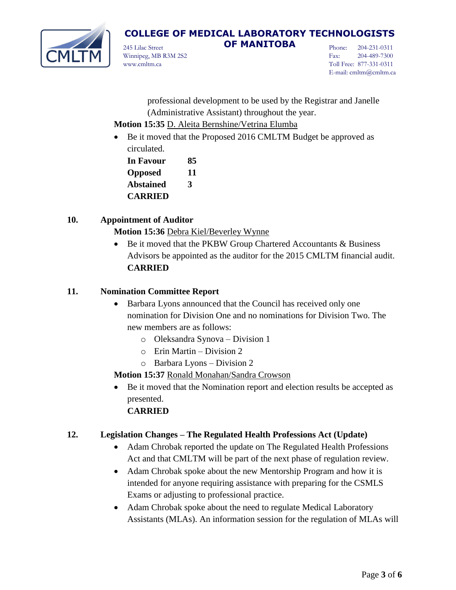

245 Lilac Street **OF MANITOBA** Winnipeg, MB R3M 2S2 www.cmltm.ca

Phone: 204-231-0311 Fax: 204-489-7300 Toll Free: 877-331-0311 E-mail: cmltm@cmltm.ca

professional development to be used by the Registrar and Janelle (Administrative Assistant) throughout the year.

- **Motion 15:35** D. Aleita Bernshine/Vetrina Elumba
- Be it moved that the Proposed 2016 CMLTM Budget be approved as circulated.

| In Favour        | 85 |
|------------------|----|
| <b>Opposed</b>   | 11 |
| <b>Abstained</b> | 3  |
| <b>CARRIED</b>   |    |

## **10. Appointment of Auditor**

**Motion 15:36** Debra Kiel/Beverley Wynne

• Be it moved that the PKBW Group Chartered Accountants & Business Advisors be appointed as the auditor for the 2015 CMLTM financial audit. **CARRIED**

## **11. Nomination Committee Report**

- Barbara Lyons announced that the Council has received only one nomination for Division One and no nominations for Division Two. The new members are as follows:
	- o Oleksandra Synova Division 1
	- o Erin Martin Division 2
	- o Barbara Lyons Division 2

**Motion 15:37** Ronald Monahan/Sandra Crowson

 Be it moved that the Nomination report and election results be accepted as presented.

## **CARRIED**

## **12. Legislation Changes – The Regulated Health Professions Act (Update)**

- Adam Chrobak reported the update on The Regulated Health Professions Act and that CMLTM will be part of the next phase of regulation review.
- Adam Chrobak spoke about the new Mentorship Program and how it is intended for anyone requiring assistance with preparing for the CSMLS Exams or adjusting to professional practice.
- Adam Chrobak spoke about the need to regulate Medical Laboratory Assistants (MLAs). An information session for the regulation of MLAs will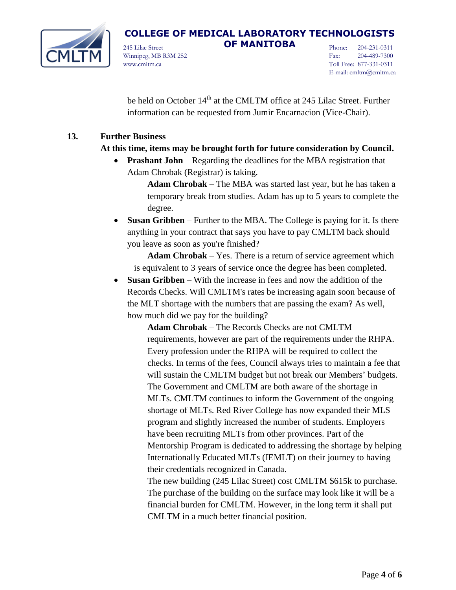

245 Lilac Street **OF MANITOBA** Winnipeg, MB R3M 2S2 www.cmltm.ca

Phone: 204-231-0311 Fax: 204-489-7300 Toll Free: 877-331-0311 E-mail: cmltm@cmltm.ca

be held on October 14<sup>th</sup> at the CMLTM office at 245 Lilac Street. Further information can be requested from Jumir Encarnacion (Vice-Chair).

### **13. Further Business**

### **At this time, items may be brought forth for future consideration by Council.**

 **Prashant John** – Regarding the deadlines for the MBA registration that Adam Chrobak (Registrar) is taking.

> **Adam Chrobak** – The MBA was started last year, but he has taken a temporary break from studies. Adam has up to 5 years to complete the degree.

 **Susan Gribben** – Further to the MBA. The College is paying for it. Is there anything in your contract that says you have to pay CMLTM back should you leave as soon as you're finished?

**Adam Chrobak** – Yes. There is a return of service agreement which is equivalent to 3 years of service once the degree has been completed.

 **Susan Gribben** – With the increase in fees and now the addition of the Records Checks. Will CMLTM's rates be increasing again soon because of the MLT shortage with the numbers that are passing the exam? As well, how much did we pay for the building?

> **Adam Chrobak** – The Records Checks are not CMLTM requirements, however are part of the requirements under the RHPA. Every profession under the RHPA will be required to collect the checks. In terms of the fees, Council always tries to maintain a fee that will sustain the CMLTM budget but not break our Members' budgets. The Government and CMLTM are both aware of the shortage in MLTs. CMLTM continues to inform the Government of the ongoing shortage of MLTs. Red River College has now expanded their MLS program and slightly increased the number of students. Employers have been recruiting MLTs from other provinces. Part of the Mentorship Program is dedicated to addressing the shortage by helping Internationally Educated MLTs (IEMLT) on their journey to having their credentials recognized in Canada.

The new building (245 Lilac Street) cost CMLTM \$615k to purchase. The purchase of the building on the surface may look like it will be a financial burden for CMLTM. However, in the long term it shall put CMLTM in a much better financial position.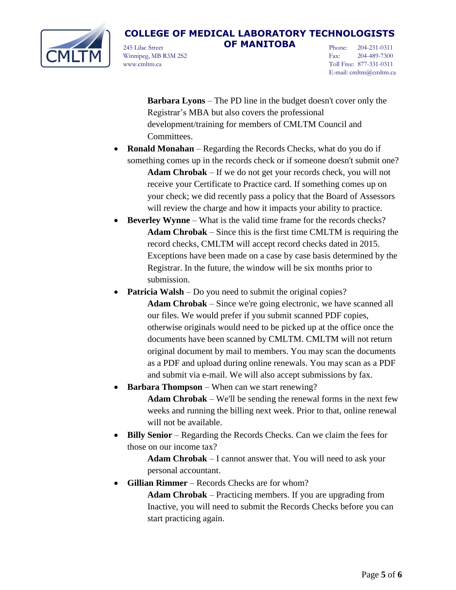

245 Lilac Street **OF MANITOBA** Winnipeg, MB R3M 2S2 www.cmltm.ca

Phone: 204-231-0311 Fax: 204-489-7300 Toll Free: 877-331-0311 E-mail: cmltm@cmltm.ca

**Barbara Lyons** – The PD line in the budget doesn't cover only the Registrar's MBA but also covers the professional development/training for members of CMLTM Council and Committees.

- **Ronald Monahan** Regarding the Records Checks, what do you do if something comes up in the records check or if someone doesn't submit one? **Adam Chrobak** – If we do not get your records check, you will not receive your Certificate to Practice card. If something comes up on your check; we did recently pass a policy that the Board of Assessors will review the charge and how it impacts your ability to practice.
- **Beverley Wynne** What is the valid time frame for the records checks? **Adam Chrobak** – Since this is the first time CMLTM is requiring the record checks, CMLTM will accept record checks dated in 2015. Exceptions have been made on a case by case basis determined by the Registrar. In the future, the window will be six months prior to submission.
- **Patricia Walsh** Do you need to submit the original copies? **Adam Chrobak** – Since we're going electronic, we have scanned all our files. We would prefer if you submit scanned PDF copies, otherwise originals would need to be picked up at the office once the documents have been scanned by CMLTM. CMLTM will not return original document by mail to members. You may scan the documents as a PDF and upload during online renewals. You may scan as a PDF and submit via e-mail. We will also accept submissions by fax.
	- **Barbara Thompson** When can we start renewing? **Adam Chrobak** – We'll be sending the renewal forms in the next few weeks and running the billing next week. Prior to that, online renewal will not be available.
- **Billy Senior** Regarding the Records Checks. Can we claim the fees for those on our income tax?

**Adam Chrobak** – I cannot answer that. You will need to ask your personal accountant.

 **Gillian Rimmer** – Records Checks are for whom? **Adam Chrobak** – Practicing members. If you are upgrading from Inactive, you will need to submit the Records Checks before you can start practicing again.